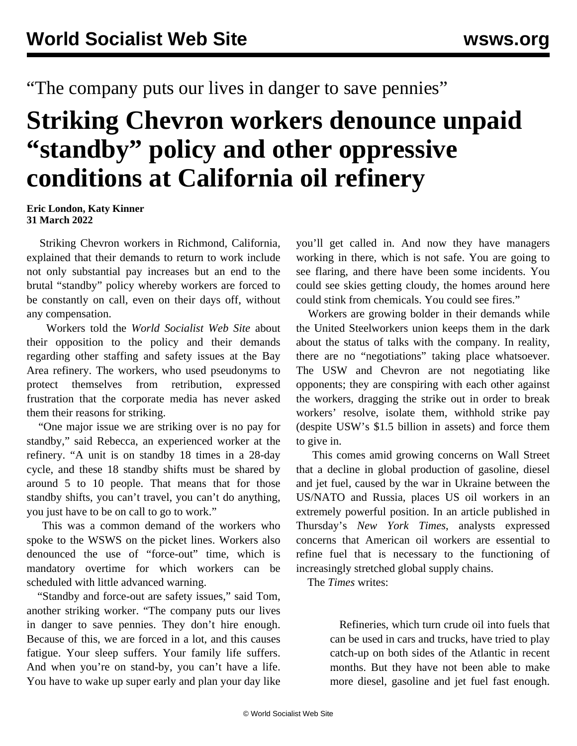## "The company puts our lives in danger to save pennies"

## **Striking Chevron workers denounce unpaid "standby" policy and other oppressive conditions at California oil refinery**

**Eric London, Katy Kinner 31 March 2022**

 Striking Chevron workers in Richmond, California, explained that their demands to return to work include not only substantial pay increases but an end to the brutal "standby" policy whereby workers are forced to be constantly on call, even on their days off, without any compensation.

 Workers told the *World Socialist Web Site* about their opposition to the policy and their demands regarding other staffing and safety issues at the Bay Area refinery. The workers, who used pseudonyms to protect themselves from retribution, expressed frustration that the corporate media has never asked them their reasons for striking.

 "One major issue we are striking over is no pay for standby," said Rebecca, an experienced worker at the refinery. "A unit is on standby 18 times in a 28-day cycle, and these 18 standby shifts must be shared by around 5 to 10 people. That means that for those standby shifts, you can't travel, you can't do anything, you just have to be on call to go to work."

 This was a common demand of the workers who spoke to the WSWS on the picket lines. Workers also denounced the use of "force-out" time, which is mandatory overtime for which workers can be scheduled with little advanced warning.

 "Standby and force-out are safety issues," said Tom, another striking worker. "The company puts our lives in danger to save pennies. They don't hire enough. Because of this, we are forced in a lot, and this causes fatigue. Your sleep suffers. Your family life suffers. And when you're on stand-by, you can't have a life. You have to wake up super early and plan your day like

you'll get called in. And now they have managers working in there, which is not safe. You are going to see flaring, and there have been some incidents. You could see skies getting cloudy, the homes around here could stink from chemicals. You could see fires."

 Workers are growing bolder in their demands while the United Steelworkers union keeps them in the dark about the status of talks with the company. In reality, there are no "negotiations" taking place whatsoever. The USW and Chevron are not negotiating like opponents; they are conspiring with each other against the workers, dragging the strike out in order to break workers' resolve, isolate them, withhold strike pay (despite USW's \$1.5 billion in assets) and force them to give in.

 This comes amid growing concerns on Wall Street that a decline in global production of gasoline, diesel and jet fuel, caused by the war in Ukraine between the US/NATO and Russia, places US oil workers in an extremely powerful position. In an article published in Thursday's *New York Times*, analysts expressed concerns that American oil workers are essential to refine fuel that is necessary to the functioning of increasingly stretched global supply chains.

The *Times* writes:

 Refineries, which turn crude oil into fuels that can be used in cars and trucks, have tried to play catch-up on both sides of the Atlantic in recent months. But they have not been able to make more diesel, gasoline and jet fuel fast enough.